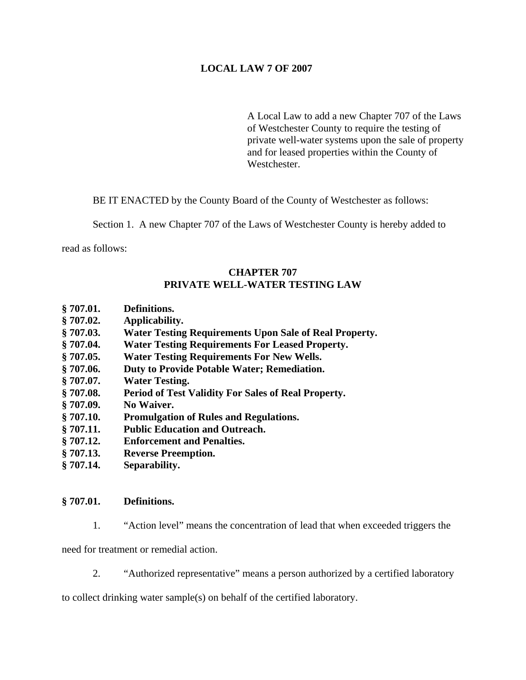# **LOCAL LAW 7 OF 2007**

A Local Law to add a new Chapter 707 of the Laws of Westchester County to require the testing of private well-water systems upon the sale of property and for leased properties within the County of Westchester.

BE IT ENACTED by the County Board of the County of Westchester as follows:

Section 1. A new Chapter 707 of the Laws of Westchester County is hereby added to

read as follows:

# **CHAPTER 707 PRIVATE WELL-WATER TESTING LAW**

- **§ 707.01. Definitions.**
- **§ 707.02. Applicability.**
- **§ 707.03. Water Testing Requirements Upon Sale of Real Property.**
- **§ 707.04. Water Testing Requirements For Leased Property.**
- **§ 707.05. Water Testing Requirements For New Wells.**
- **§ 707.06. Duty to Provide Potable Water; Remediation.**
- **§ 707.07. Water Testing.**
- **§ 707.08. Period of Test Validity For Sales of Real Property.**
- **§ 707.09. No Waiver.**
- **§ 707.10. Promulgation of Rules and Regulations.**
- **§ 707.11. Public Education and Outreach.**
- **§ 707.12. Enforcement and Penalties.**
- **§ 707.13. Reverse Preemption.**
- **§ 707.14. Separability.**

## **§ 707.01. Definitions.**

1. "Action level" means the concentration of lead that when exceeded triggers the

need for treatment or remedial action.

2. "Authorized representative" means a person authorized by a certified laboratory

to collect drinking water sample(s) on behalf of the certified laboratory.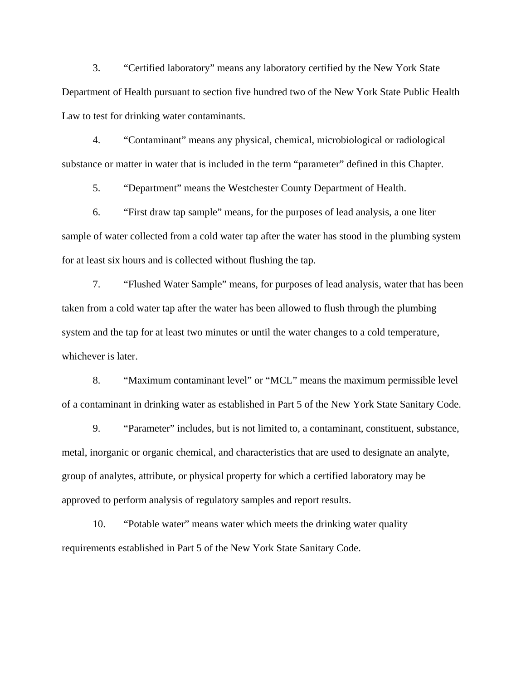3. "Certified laboratory" means any laboratory certified by the New York State Department of Health pursuant to section five hundred two of the New York State Public Health Law to test for drinking water contaminants.

4. "Contaminant" means any physical, chemical, microbiological or radiological substance or matter in water that is included in the term "parameter" defined in this Chapter.

5. "Department" means the Westchester County Department of Health.

6. "First draw tap sample" means, for the purposes of lead analysis, a one liter sample of water collected from a cold water tap after the water has stood in the plumbing system for at least six hours and is collected without flushing the tap.

7. "Flushed Water Sample" means, for purposes of lead analysis, water that has been taken from a cold water tap after the water has been allowed to flush through the plumbing system and the tap for at least two minutes or until the water changes to a cold temperature, whichever is later.

8. "Maximum contaminant level" or "MCL" means the maximum permissible level of a contaminant in drinking water as established in Part 5 of the New York State Sanitary Code.

9. "Parameter" includes, but is not limited to, a contaminant, constituent, substance, metal, inorganic or organic chemical, and characteristics that are used to designate an analyte, group of analytes, attribute, or physical property for which a certified laboratory may be approved to perform analysis of regulatory samples and report results.

10. "Potable water" means water which meets the drinking water quality requirements established in Part 5 of the New York State Sanitary Code.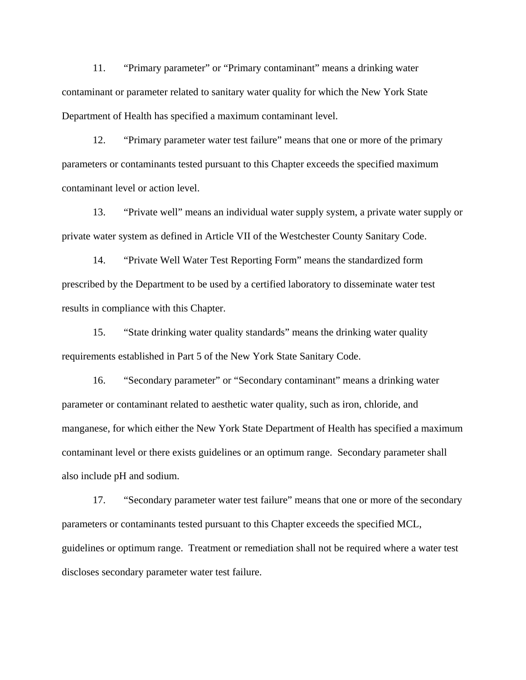11. "Primary parameter" or "Primary contaminant" means a drinking water contaminant or parameter related to sanitary water quality for which the New York State Department of Health has specified a maximum contaminant level.

12. "Primary parameter water test failure" means that one or more of the primary parameters or contaminants tested pursuant to this Chapter exceeds the specified maximum contaminant level or action level.

13. "Private well" means an individual water supply system, a private water supply or private water system as defined in Article VII of the Westchester County Sanitary Code.

14. "Private Well Water Test Reporting Form" means the standardized form prescribed by the Department to be used by a certified laboratory to disseminate water test results in compliance with this Chapter.

15. "State drinking water quality standards" means the drinking water quality requirements established in Part 5 of the New York State Sanitary Code.

16. "Secondary parameter" or "Secondary contaminant" means a drinking water parameter or contaminant related to aesthetic water quality, such as iron, chloride, and manganese, for which either the New York State Department of Health has specified a maximum contaminant level or there exists guidelines or an optimum range. Secondary parameter shall also include pH and sodium.

17. "Secondary parameter water test failure" means that one or more of the secondary parameters or contaminants tested pursuant to this Chapter exceeds the specified MCL, guidelines or optimum range. Treatment or remediation shall not be required where a water test discloses secondary parameter water test failure.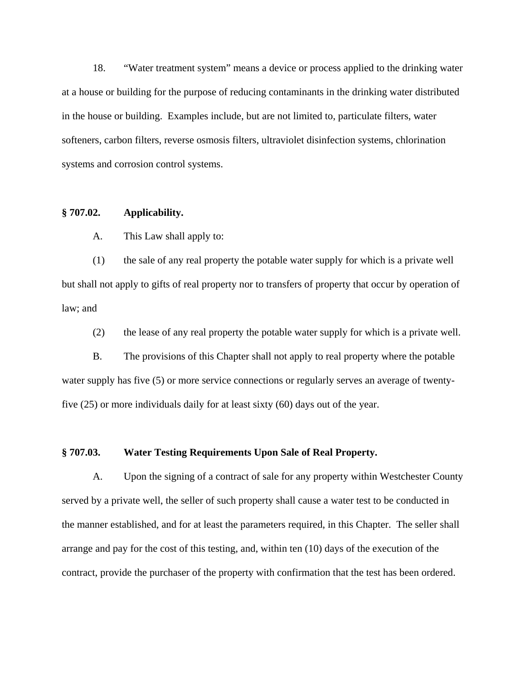18. "Water treatment system" means a device or process applied to the drinking water at a house or building for the purpose of reducing contaminants in the drinking water distributed in the house or building. Examples include, but are not limited to, particulate filters, water softeners, carbon filters, reverse osmosis filters, ultraviolet disinfection systems, chlorination systems and corrosion control systems.

# **§ 707.02. Applicability.**

A. This Law shall apply to:

(1) the sale of any real property the potable water supply for which is a private well but shall not apply to gifts of real property nor to transfers of property that occur by operation of law; and

(2) the lease of any real property the potable water supply for which is a private well.

 B. The provisions of this Chapter shall not apply to real property where the potable water supply has five (5) or more service connections or regularly serves an average of twentyfive (25) or more individuals daily for at least sixty (60) days out of the year.

### **§ 707.03. Water Testing Requirements Upon Sale of Real Property.**

A. Upon the signing of a contract of sale for any property within Westchester County served by a private well, the seller of such property shall cause a water test to be conducted in the manner established, and for at least the parameters required, in this Chapter. The seller shall arrange and pay for the cost of this testing, and, within ten (10) days of the execution of the contract, provide the purchaser of the property with confirmation that the test has been ordered.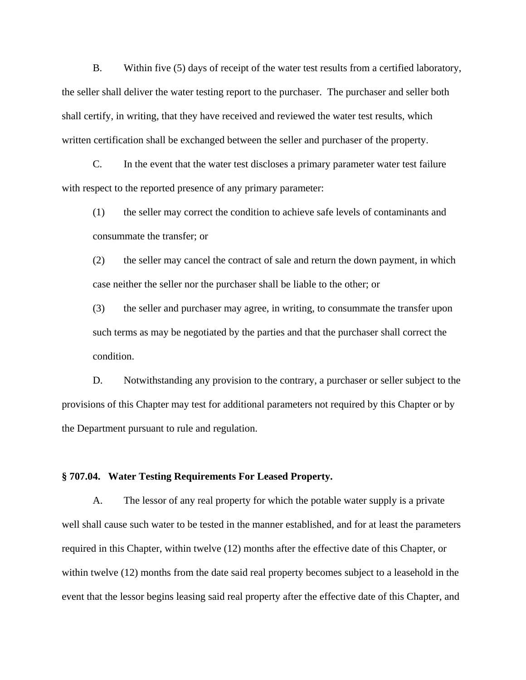B. Within five (5) days of receipt of the water test results from a certified laboratory, the seller shall deliver the water testing report to the purchaser. The purchaser and seller both shall certify, in writing, that they have received and reviewed the water test results, which written certification shall be exchanged between the seller and purchaser of the property.

C. In the event that the water test discloses a primary parameter water test failure with respect to the reported presence of any primary parameter:

(1) the seller may correct the condition to achieve safe levels of contaminants and consummate the transfer; or

(2) the seller may cancel the contract of sale and return the down payment, in which case neither the seller nor the purchaser shall be liable to the other; or

(3) the seller and purchaser may agree, in writing, to consummate the transfer upon such terms as may be negotiated by the parties and that the purchaser shall correct the condition.

D. Notwithstanding any provision to the contrary, a purchaser or seller subject to the provisions of this Chapter may test for additional parameters not required by this Chapter or by the Department pursuant to rule and regulation.

## **§ 707.04. Water Testing Requirements For Leased Property.**

A. The lessor of any real property for which the potable water supply is a private well shall cause such water to be tested in the manner established, and for at least the parameters required in this Chapter, within twelve (12) months after the effective date of this Chapter, or within twelve (12) months from the date said real property becomes subject to a leasehold in the event that the lessor begins leasing said real property after the effective date of this Chapter, and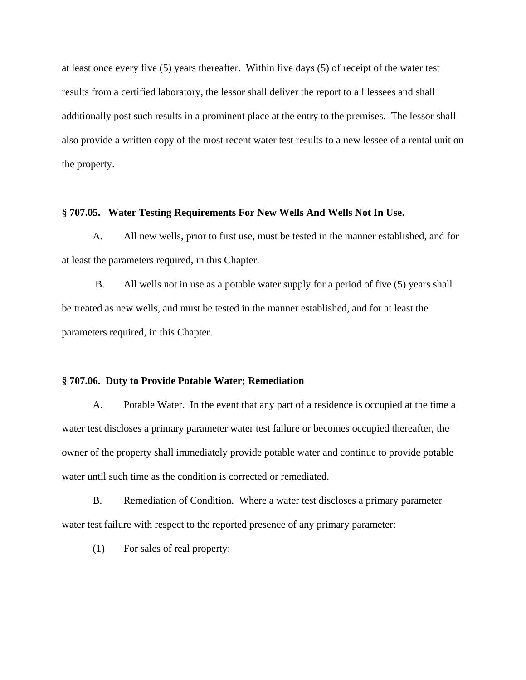at least once every five (5) years thereafter. Within five days (5) of receipt of the water test results from a certified laboratory, the lessor shall deliver the report to all lessees and shall additionally post such results in a prominent place at the entry to the premises. The lessor shall also provide a written copy of the most recent water test results to a new lessee of a rental unit on the property.

### **§ 707.05. Water Testing Requirements For New Wells And Wells Not In Use.**

A. All new wells, prior to first use, must be tested in the manner established, and for at least the parameters required, in this Chapter.

 B. All wells not in use as a potable water supply for a period of five (5) years shall be treated as new wells, and must be tested in the manner established, and for at least the parameters required, in this Chapter.

#### **§ 707.06. Duty to Provide Potable Water; Remediation**

A. Potable Water. In the event that any part of a residence is occupied at the time a water test discloses a primary parameter water test failure or becomes occupied thereafter, the owner of the property shall immediately provide potable water and continue to provide potable water until such time as the condition is corrected or remediated.

B. Remediation of Condition. Where a water test discloses a primary parameter water test failure with respect to the reported presence of any primary parameter:

(1) For sales of real property: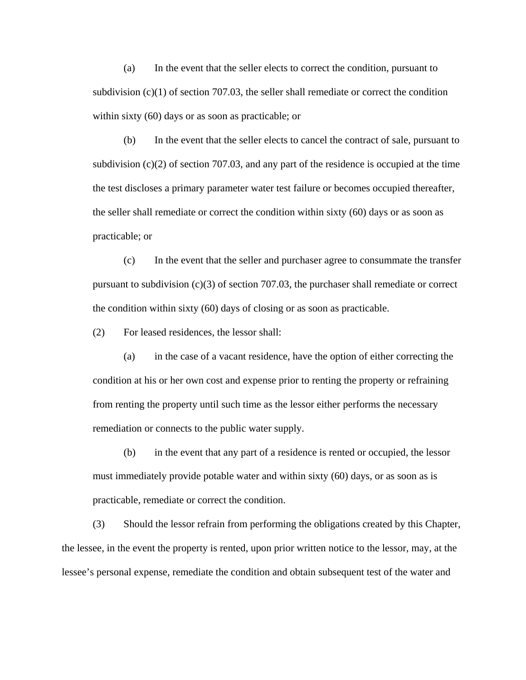(a) In the event that the seller elects to correct the condition, pursuant to subdivision  $(c)(1)$  of section 707.03, the seller shall remediate or correct the condition within sixty (60) days or as soon as practicable; or

(b) In the event that the seller elects to cancel the contract of sale, pursuant to subdivision  $(c)(2)$  of section 707.03, and any part of the residence is occupied at the time the test discloses a primary parameter water test failure or becomes occupied thereafter, the seller shall remediate or correct the condition within sixty (60) days or as soon as practicable; or

(c) In the event that the seller and purchaser agree to consummate the transfer pursuant to subdivision (c)(3) of section 707.03, the purchaser shall remediate or correct the condition within sixty (60) days of closing or as soon as practicable.

(2) For leased residences, the lessor shall:

(a) in the case of a vacant residence, have the option of either correcting the condition at his or her own cost and expense prior to renting the property or refraining from renting the property until such time as the lessor either performs the necessary remediation or connects to the public water supply.

(b) in the event that any part of a residence is rented or occupied, the lessor must immediately provide potable water and within sixty (60) days, or as soon as is practicable, remediate or correct the condition.

(3) Should the lessor refrain from performing the obligations created by this Chapter, the lessee, in the event the property is rented, upon prior written notice to the lessor, may, at the lessee's personal expense, remediate the condition and obtain subsequent test of the water and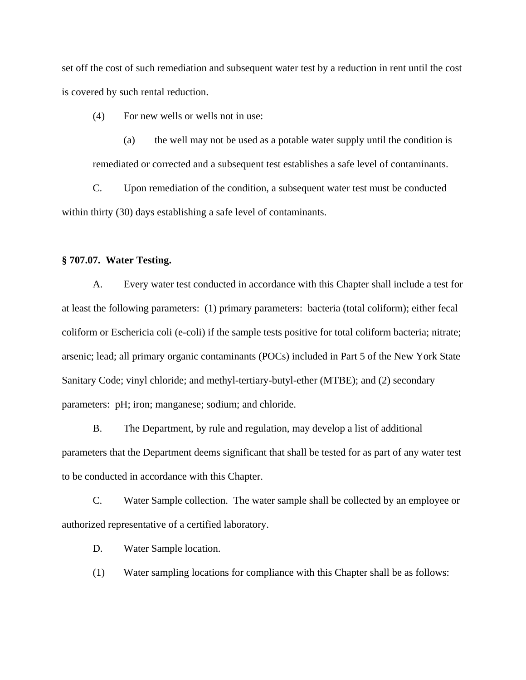set off the cost of such remediation and subsequent water test by a reduction in rent until the cost is covered by such rental reduction.

(4) For new wells or wells not in use:

 (a) the well may not be used as a potable water supply until the condition is remediated or corrected and a subsequent test establishes a safe level of contaminants.

C. Upon remediation of the condition, a subsequent water test must be conducted within thirty (30) days establishing a safe level of contaminants.

## **§ 707.07. Water Testing.**

 A. Every water test conducted in accordance with this Chapter shall include a test for at least the following parameters: (1) primary parameters: bacteria (total coliform); either fecal coliform or Eschericia coli (e-coli) if the sample tests positive for total coliform bacteria; nitrate; arsenic; lead; all primary organic contaminants (POCs) included in Part 5 of the New York State Sanitary Code; vinyl chloride; and methyl-tertiary-butyl-ether (MTBE); and (2) secondary parameters: pH; iron; manganese; sodium; and chloride.

 B. The Department, by rule and regulation, may develop a list of additional parameters that the Department deems significant that shall be tested for as part of any water test to be conducted in accordance with this Chapter.

C. Water Sample collection. The water sample shall be collected by an employee or authorized representative of a certified laboratory.

D. Water Sample location.

(1) Water sampling locations for compliance with this Chapter shall be as follows: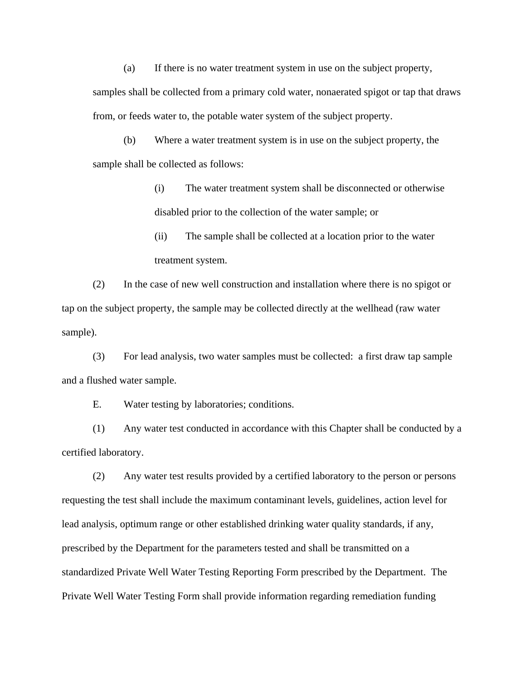(a) If there is no water treatment system in use on the subject property,

samples shall be collected from a primary cold water, nonaerated spigot or tap that draws from, or feeds water to, the potable water system of the subject property.

(b) Where a water treatment system is in use on the subject property, the sample shall be collected as follows:

> (i) The water treatment system shall be disconnected or otherwise disabled prior to the collection of the water sample; or

(ii) The sample shall be collected at a location prior to the water treatment system.

(2) In the case of new well construction and installation where there is no spigot or tap on the subject property, the sample may be collected directly at the wellhead (raw water sample).

(3) For lead analysis, two water samples must be collected: a first draw tap sample and a flushed water sample.

E. Water testing by laboratories; conditions.

(1) Any water test conducted in accordance with this Chapter shall be conducted by a certified laboratory.

(2) Any water test results provided by a certified laboratory to the person or persons requesting the test shall include the maximum contaminant levels, guidelines, action level for lead analysis, optimum range or other established drinking water quality standards, if any, prescribed by the Department for the parameters tested and shall be transmitted on a standardized Private Well Water Testing Reporting Form prescribed by the Department. The Private Well Water Testing Form shall provide information regarding remediation funding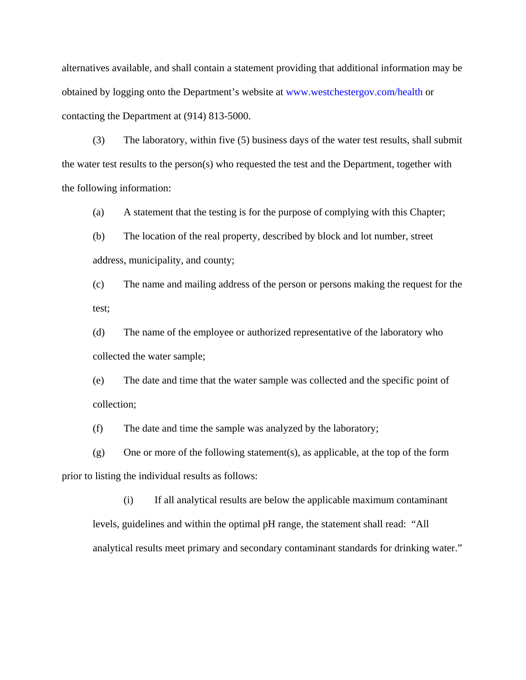alternatives available, and shall contain a statement providing that additional information may be obtained by logging onto the Department's website at [www.westchestergov.com/health](http://www.westchestergov.com/health) or contacting the Department at (914) 813-5000.

(3) The laboratory, within five (5) business days of the water test results, shall submit the water test results to the person(s) who requested the test and the Department, together with the following information:

(a) A statement that the testing is for the purpose of complying with this Chapter;

(b) The location of the real property, described by block and lot number, street address, municipality, and county;

(c) The name and mailing address of the person or persons making the request for the test;

(d) The name of the employee or authorized representative of the laboratory who collected the water sample;

(e) The date and time that the water sample was collected and the specific point of collection;

(f) The date and time the sample was analyzed by the laboratory;

(g) One or more of the following statement(s), as applicable, at the top of the form prior to listing the individual results as follows:

(i) If all analytical results are below the applicable maximum contaminant levels, guidelines and within the optimal pH range, the statement shall read: "All analytical results meet primary and secondary contaminant standards for drinking water."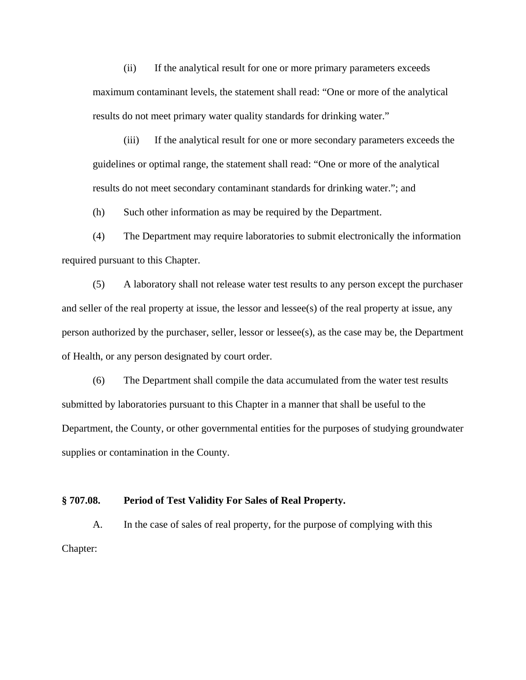(ii) If the analytical result for one or more primary parameters exceeds maximum contaminant levels, the statement shall read: "One or more of the analytical results do not meet primary water quality standards for drinking water."

(iii) If the analytical result for one or more secondary parameters exceeds the guidelines or optimal range, the statement shall read: "One or more of the analytical results do not meet secondary contaminant standards for drinking water."; and

(h) Such other information as may be required by the Department.

(4) The Department may require laboratories to submit electronically the information required pursuant to this Chapter.

(5) A laboratory shall not release water test results to any person except the purchaser and seller of the real property at issue, the lessor and lessee(s) of the real property at issue, any person authorized by the purchaser, seller, lessor or lessee(s), as the case may be, the Department of Health, or any person designated by court order.

(6) The Department shall compile the data accumulated from the water test results submitted by laboratories pursuant to this Chapter in a manner that shall be useful to the Department, the County, or other governmental entities for the purposes of studying groundwater supplies or contamination in the County.

#### **§ 707.08. Period of Test Validity For Sales of Real Property.**

A. In the case of sales of real property, for the purpose of complying with this Chapter: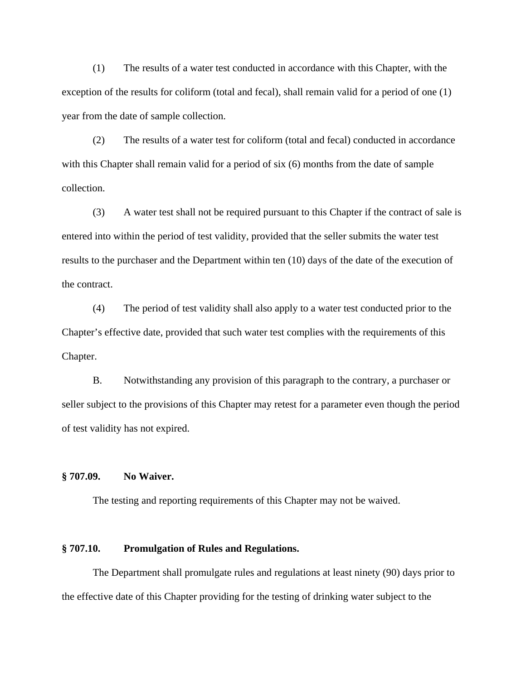(1) The results of a water test conducted in accordance with this Chapter, with the exception of the results for coliform (total and fecal), shall remain valid for a period of one (1) year from the date of sample collection.

(2) The results of a water test for coliform (total and fecal) conducted in accordance with this Chapter shall remain valid for a period of six (6) months from the date of sample collection.

(3) A water test shall not be required pursuant to this Chapter if the contract of sale is entered into within the period of test validity, provided that the seller submits the water test results to the purchaser and the Department within ten (10) days of the date of the execution of the contract.

(4) The period of test validity shall also apply to a water test conducted prior to the Chapter's effective date, provided that such water test complies with the requirements of this Chapter.

B. Notwithstanding any provision of this paragraph to the contrary, a purchaser or seller subject to the provisions of this Chapter may retest for a parameter even though the period of test validity has not expired.

## **§ 707.09. No Waiver.**

The testing and reporting requirements of this Chapter may not be waived.

# **§ 707.10. Promulgation of Rules and Regulations.**

The Department shall promulgate rules and regulations at least ninety (90) days prior to the effective date of this Chapter providing for the testing of drinking water subject to the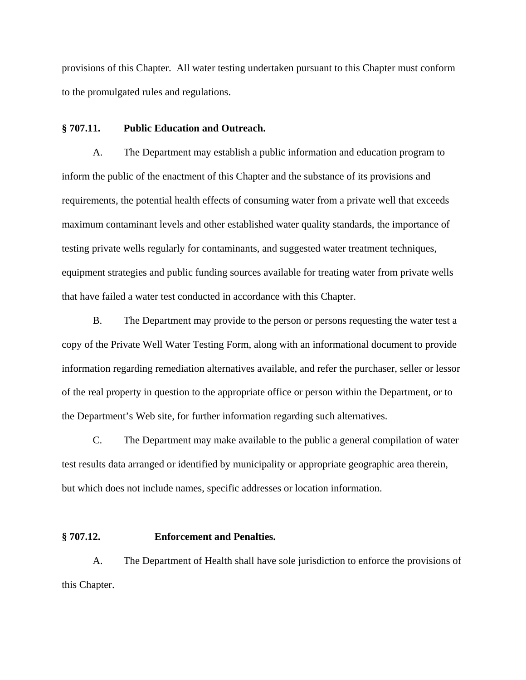provisions of this Chapter. All water testing undertaken pursuant to this Chapter must conform to the promulgated rules and regulations.

# **§ 707.11. Public Education and Outreach.**

A. The Department may establish a public information and education program to inform the public of the enactment of this Chapter and the substance of its provisions and requirements, the potential health effects of consuming water from a private well that exceeds maximum contaminant levels and other established water quality standards, the importance of testing private wells regularly for contaminants, and suggested water treatment techniques, equipment strategies and public funding sources available for treating water from private wells that have failed a water test conducted in accordance with this Chapter.

B. The Department may provide to the person or persons requesting the water test a copy of the Private Well Water Testing Form, along with an informational document to provide information regarding remediation alternatives available, and refer the purchaser, seller or lessor of the real property in question to the appropriate office or person within the Department, or to the Department's Web site, for further information regarding such alternatives.

C. The Department may make available to the public a general compilation of water test results data arranged or identified by municipality or appropriate geographic area therein, but which does not include names, specific addresses or location information.

### **§ 707.12. Enforcement and Penalties.**

A. The Department of Health shall have sole jurisdiction to enforce the provisions of this Chapter.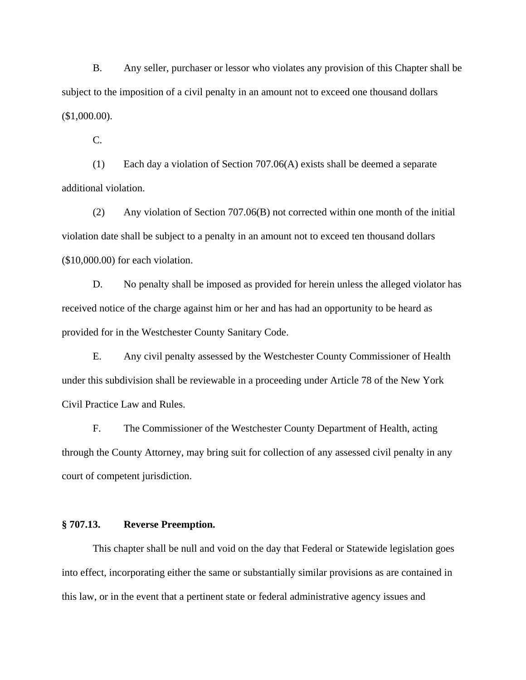B. Any seller, purchaser or lessor who violates any provision of this Chapter shall be subject to the imposition of a civil penalty in an amount not to exceed one thousand dollars (\$1,000.00).

C.

(1) Each day a violation of Section 707.06(A) exists shall be deemed a separate additional violation.

(2) Any violation of Section 707.06(B) not corrected within one month of the initial violation date shall be subject to a penalty in an amount not to exceed ten thousand dollars (\$10,000.00) for each violation.

D. No penalty shall be imposed as provided for herein unless the alleged violator has received notice of the charge against him or her and has had an opportunity to be heard as provided for in the Westchester County Sanitary Code.

E. Any civil penalty assessed by the Westchester County Commissioner of Health under this subdivision shall be reviewable in a proceeding under Article 78 of the New York Civil Practice Law and Rules.

F. The Commissioner of the Westchester County Department of Health, acting through the County Attorney, may bring suit for collection of any assessed civil penalty in any court of competent jurisdiction.

# **§ 707.13. Reverse Preemption.**

This chapter shall be null and void on the day that Federal or Statewide legislation goes into effect, incorporating either the same or substantially similar provisions as are contained in this law, or in the event that a pertinent state or federal administrative agency issues and